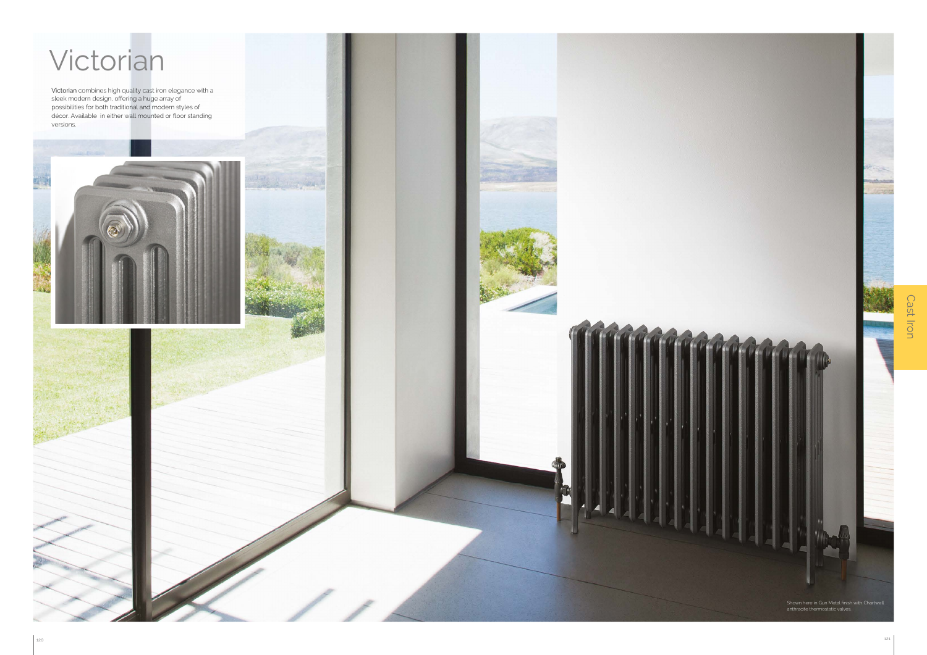Victorian combines high quality cast iron elegance with a sleek modern design, offering a huge array of possibilities for both traditional and modern styles of décor. Available in either wall mounted or floor standing versions.





Cast Iron Cast Iron

## Victorian